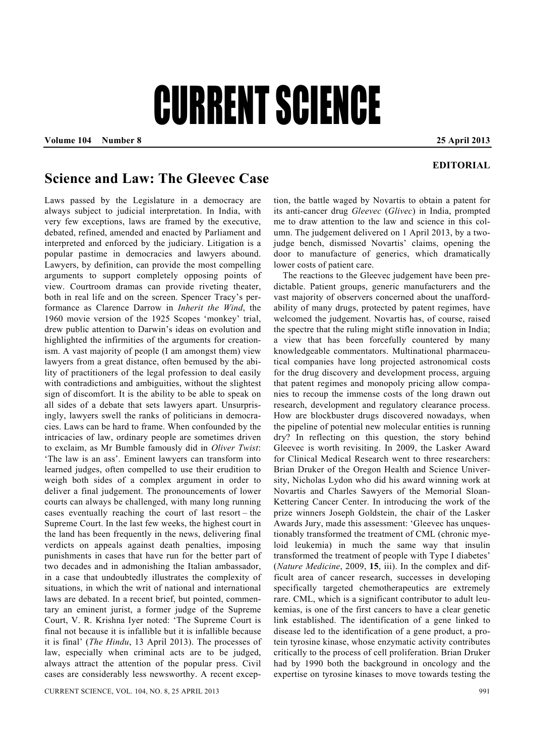# CURRENT SCIENCE

**Volume 104 Number 8 25 April 2013** 

### **EDITORIAL**

## **Science and Law: The Gleevec Case**

Laws passed by the Legislature in a democracy are always subject to judicial interpretation. In India, with very few exceptions, laws are framed by the executive, debated, refined, amended and enacted by Parliament and interpreted and enforced by the judiciary. Litigation is a popular pastime in democracies and lawyers abound. Lawyers, by definition, can provide the most compelling arguments to support completely opposing points of view. Courtroom dramas can provide riveting theater, both in real life and on the screen. Spencer Tracy's performance as Clarence Darrow in *Inherit the Wind*, the 1960 movie version of the 1925 Scopes 'monkey' trial, drew public attention to Darwin's ideas on evolution and highlighted the infirmities of the arguments for creationism. A vast majority of people (I am amongst them) view lawyers from a great distance, often bemused by the ability of practitioners of the legal profession to deal easily with contradictions and ambiguities, without the slightest sign of discomfort. It is the ability to be able to speak on all sides of a debate that sets lawyers apart. Unsurprisingly, lawyers swell the ranks of politicians in democracies. Laws can be hard to frame. When confounded by the intricacies of law, ordinary people are sometimes driven to exclaim, as Mr Bumble famously did in *Oliver Twist*: 'The law is an ass'. Eminent lawyers can transform into learned judges, often compelled to use their erudition to weigh both sides of a complex argument in order to deliver a final judgement. The pronouncements of lower courts can always be challenged, with many long running cases eventually reaching the court of last resort – the Supreme Court. In the last few weeks, the highest court in the land has been frequently in the news, delivering final verdicts on appeals against death penalties, imposing punishments in cases that have run for the better part of two decades and in admonishing the Italian ambassador, in a case that undoubtedly illustrates the complexity of situations, in which the writ of national and international laws are debated. In a recent brief, but pointed, commentary an eminent jurist, a former judge of the Supreme Court, V. R. Krishna Iyer noted: 'The Supreme Court is final not because it is infallible but it is infallible because it is final' (*The Hindu*, 13 April 2013). The processes of law, especially when criminal acts are to be judged, always attract the attention of the popular press. Civil cases are considerably less newsworthy. A recent excep-

tion, the battle waged by Novartis to obtain a patent for its anti-cancer drug *Gleevec* (*Glivec*) in India, prompted me to draw attention to the law and science in this column. The judgement delivered on 1 April 2013, by a twojudge bench, dismissed Novartis' claims, opening the door to manufacture of generics, which dramatically lower costs of patient care.

 The reactions to the Gleevec judgement have been predictable. Patient groups, generic manufacturers and the vast majority of observers concerned about the unaffordability of many drugs, protected by patent regimes, have welcomed the judgement. Novartis has, of course, raised the spectre that the ruling might stifle innovation in India; a view that has been forcefully countered by many knowledgeable commentators. Multinational pharmaceutical companies have long projected astronomical costs for the drug discovery and development process, arguing that patent regimes and monopoly pricing allow companies to recoup the immense costs of the long drawn out research, development and regulatory clearance process. How are blockbuster drugs discovered nowadays, when the pipeline of potential new molecular entities is running dry? In reflecting on this question, the story behind Gleevec is worth revisiting. In 2009, the Lasker Award for Clinical Medical Research went to three researchers: Brian Druker of the Oregon Health and Science University, Nicholas Lydon who did his award winning work at Novartis and Charles Sawyers of the Memorial Sloan-Kettering Cancer Center. In introducing the work of the prize winners Joseph Goldstein, the chair of the Lasker Awards Jury, made this assessment: 'Gleevec has unquestionably transformed the treatment of CML (chronic myeloid leukemia) in much the same way that insulin transformed the treatment of people with Type I diabetes' (*Nature Medicine*, 2009, **15**, iii). In the complex and difficult area of cancer research, successes in developing specifically targeted chemotherapeutics are extremely rare. CML, which is a significant contributor to adult leukemias, is one of the first cancers to have a clear genetic link established. The identification of a gene linked to disease led to the identification of a gene product, a protein tyrosine kinase, whose enzymatic activity contributes critically to the process of cell proliferation. Brian Druker had by 1990 both the background in oncology and the expertise on tyrosine kinases to move towards testing the